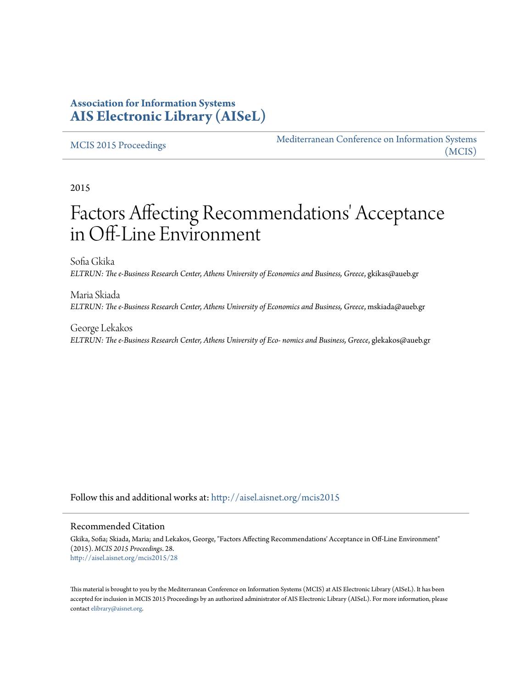### **Association for Information Systems [AIS Electronic Library \(AISeL\)](http://aisel.aisnet.org?utm_source=aisel.aisnet.org%2Fmcis2015%2F28&utm_medium=PDF&utm_campaign=PDFCoverPages)**

#### [MCIS 2015 Proceedings](http://aisel.aisnet.org/mcis2015?utm_source=aisel.aisnet.org%2Fmcis2015%2F28&utm_medium=PDF&utm_campaign=PDFCoverPages)

[Mediterranean Conference on Information Systems](http://aisel.aisnet.org/mcis?utm_source=aisel.aisnet.org%2Fmcis2015%2F28&utm_medium=PDF&utm_campaign=PDFCoverPages) [\(MCIS\)](http://aisel.aisnet.org/mcis?utm_source=aisel.aisnet.org%2Fmcis2015%2F28&utm_medium=PDF&utm_campaign=PDFCoverPages)

2015

# Factors Affecting Recommendations' Acceptance in Off-Line Environment

Sofia Gkika *ELTRUN: The e-Business Research Center, Athens University of Economics and Business, Greece*, gkikas@aueb.gr

Maria Skiada *ELTRUN: The e-Business Research Center, Athens University of Economics and Business, Greece*, mskiada@aueb.gr

George Lekakos *ELTRUN: The e-Business Research Center, Athens University of Eco- nomics and Business, Greece*, glekakos@aueb.gr

Follow this and additional works at: [http://aisel.aisnet.org/mcis2015](http://aisel.aisnet.org/mcis2015?utm_source=aisel.aisnet.org%2Fmcis2015%2F28&utm_medium=PDF&utm_campaign=PDFCoverPages)

#### Recommended Citation

Gkika, Sofia; Skiada, Maria; and Lekakos, George, "Factors Affecting Recommendations' Acceptance in Off-Line Environment" (2015). *MCIS 2015 Proceedings*. 28. [http://aisel.aisnet.org/mcis2015/28](http://aisel.aisnet.org/mcis2015/28?utm_source=aisel.aisnet.org%2Fmcis2015%2F28&utm_medium=PDF&utm_campaign=PDFCoverPages)

This material is brought to you by the Mediterranean Conference on Information Systems (MCIS) at AIS Electronic Library (AISeL). It has been accepted for inclusion in MCIS 2015 Proceedings by an authorized administrator of AIS Electronic Library (AISeL). For more information, please contact [elibrary@aisnet.org.](mailto:elibrary@aisnet.org%3E)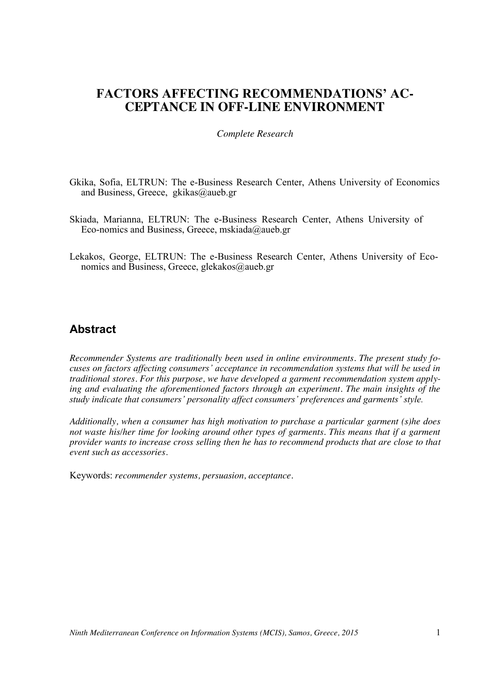## **FACTORS AFFECTING RECOMMENDATIONS' AC-CEPTANCE IN OFF-LINE ENVIRONMENT**

#### *Complete Research*

- Gkika, Sofia, ELTRUN: The e-Business Research Center, Athens University of Economics and Business, Greece, gkikas@aueb.gr
- Skiada, Marianna, ELTRUN: The e-Business Research Center, Athens University of Eco-nomics and Business, Greece, mskiada@aueb.gr
- Lekakos, George, ELTRUN: The e-Business Research Center, Athens University of Economics and Business, Greece, glekakos@aueb.gr

### **Abstract**

*Recommender Systems are traditionally been used in online environments. The present study focuses on factors affecting consumers' acceptance in recommendation systems that will be used in traditional stores. For this purpose, we have developed a garment recommendation system applying and evaluating the aforementioned factors through an experiment. The main insights of the study indicate that consumers' personality affect consumers' preferences and garments' style.*

*Additionally, when a consumer has high motivation to purchase a particular garment (s)he does not waste his/her time for looking around other types of garments. This means that if a garment provider wants to increase cross selling then he has to recommend products that are close to that event such as accessories.*

Keywords: *recommender systems, persuasion, acceptance.*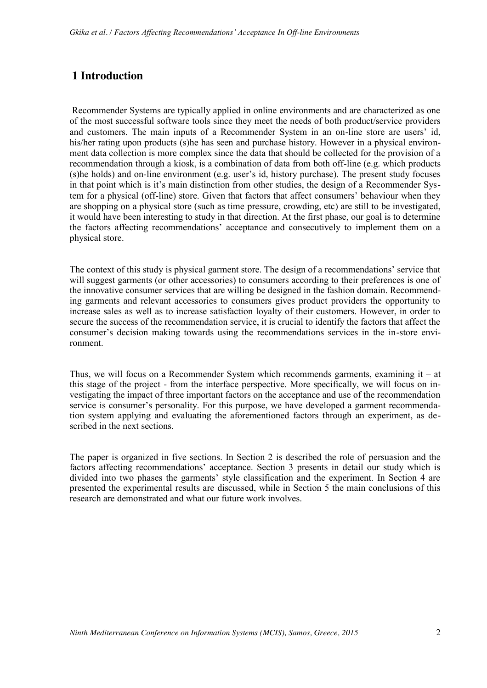# **1 Introduction**

Recommender Systems are typically applied in online environments and are characterized as one of the most successful software tools since they meet the needs of both product/service providers and customers. The main inputs of a Recommender System in an on-line store are users' id, his/her rating upon products (s)he has seen and purchase history. However in a physical environment data collection is more complex since the data that should be collected for the provision of a recommendation through a kiosk, is a combination of data from both off-line (e.g. which products (s)he holds) and on-line environment (e.g. user's id, history purchase). The present study focuses in that point which is it's main distinction from other studies, the design of a Recommender System for a physical (off-line) store. Given that factors that affect consumers' behaviour when they are shopping on a physical store (such as time pressure, crowding, etc) are still to be investigated, it would have been interesting to study in that direction. At the first phase, our goal is to determine the factors affecting recommendations' acceptance and consecutively to implement them on a physical store.

The context of this study is physical garment store. The design of a recommendations' service that will suggest garments (or other accessories) to consumers according to their preferences is one of the innovative consumer services that are willing be designed in the fashion domain. Recommending garments and relevant accessories to consumers gives product providers the opportunity to increase sales as well as to increase satisfaction loyalty of their customers. However, in order to secure the success of the recommendation service, it is crucial to identify the factors that affect the consumer's decision making towards using the recommendations services in the in-store environment.

Thus, we will focus on a Recommender System which recommends garments, examining it – at this stage of the project - from the interface perspective. More specifically, we will focus on investigating the impact of three important factors on the acceptance and use of the recommendation service is consumer's personality. For this purpose, we have developed a garment recommendation system applying and evaluating the aforementioned factors through an experiment, as described in the next sections.

The paper is organized in five sections. In Section 2 is described the role of persuasion and the factors affecting recommendations' acceptance. Section 3 presents in detail our study which is divided into two phases the garments' style classification and the experiment. In Section 4 are presented the experimental results are discussed, while in Section 5 the main conclusions of this research are demonstrated and what our future work involves.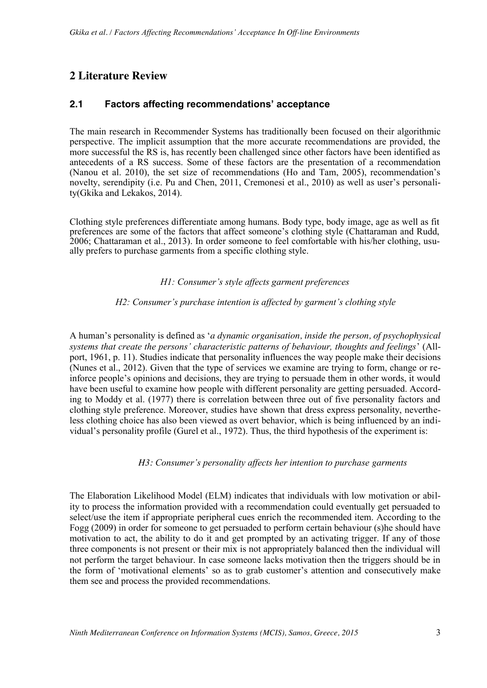### **2 Literature Review**

### **2.1 Factors affecting recommendations' acceptance**

The main research in Recommender Systems has traditionally been focused on their algorithmic perspective. The implicit assumption that the more accurate recommendations are provided, the more successful the RS is, has recently been challenged since other factors have been identified as antecedents of a RS success. Some of these factors are the presentation of a recommendation (Nanou et al. 2010), the set size of recommendations (Ho and Tam, 2005), recommendation's novelty, serendipity (i.e. Pu and Chen, 2011, Cremonesi et al., 2010) as well as user's personality(Gkika and Lekakos, 2014).

Clothing style preferences differentiate among humans. Body type, body image, age as well as fit preferences are some of the factors that affect someone's clothing style (Chattaraman and Rudd, 2006; Chattaraman et al., 2013). In order someone to feel comfortable with his/her clothing, usually prefers to purchase garments from a specific clothing style.

#### *H1: Consumer's style affects garment preferences*

#### *H2: Consumer's purchase intention is affected by garment's clothing style*

A human's personality is defined as '*a dynamic organisation, inside the person, of psychophysical systems that create the persons' characteristic patterns of behaviour, thoughts and feelings*' (Allport, 1961, p. 11). Studies indicate that personality influences the way people make their decisions (Nunes et al., 2012). Given that the type of services we examine are trying to form, change or reinforce people's opinions and decisions, they are trying to persuade them in other words, it would have been useful to examine how people with different personality are getting persuaded. According to Moddy et al. (1977) there is correlation between three out of five personality factors and clothing style preference. Moreover, studies have shown that dress express personality, nevertheless clothing choice has also been viewed as overt behavior, which is being influenced by an individual's personality profile (Gurel et al., 1972). Thus, the third hypothesis of the experiment is:

#### *H3: Consumer's personality affects her intention to purchase garments*

The Elaboration Likelihood Model (ELM) indicates that individuals with low motivation or ability to process the information provided with a recommendation could eventually get persuaded to select/use the item if appropriate peripheral cues enrich the recommended item. According to the Fogg (2009) in order for someone to get persuaded to perform certain behaviour (s)he should have motivation to act, the ability to do it and get prompted by an activating trigger. If any of those three components is not present or their mix is not appropriately balanced then the individual will not perform the target behaviour. In case someone lacks motivation then the triggers should be in the form of 'motivational elements' so as to grab customer's attention and consecutively make them see and process the provided recommendations.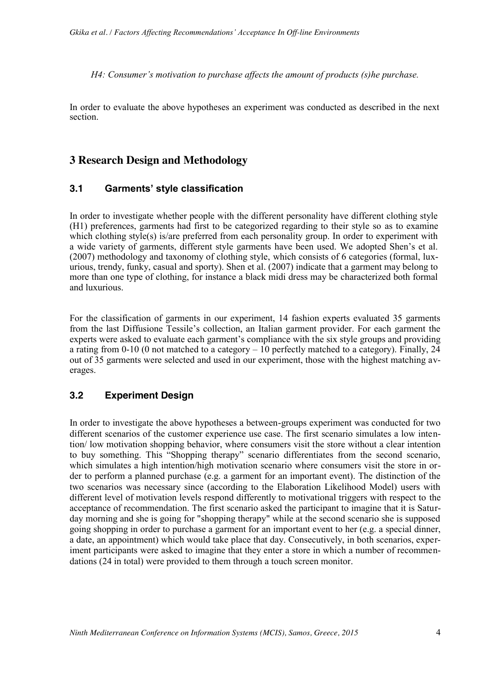*H4: Consumer's motivation to purchase affects the amount of products (s)he purchase.*

In order to evaluate the above hypotheses an experiment was conducted as described in the next section.

### **3 Research Design and Methodology**

#### **3.1 Garments' style classification**

In order to investigate whether people with the different personality have different clothing style (H1) preferences, garments had first to be categorized regarding to their style so as to examine which clothing style(s) is/are preferred from each personality group. In order to experiment with a wide variety of garments, different style garments have been used. We adopted Shen's et al. (2007) methodology and taxonomy of clothing style, which consists of 6 categories (formal, luxurious, trendy, funky, casual and sporty). Shen et al. (2007) indicate that a garment may belong to more than one type of clothing, for instance a black midi dress may be characterized both formal and luxurious.

For the classification of garments in our experiment, 14 fashion experts evaluated 35 garments from the last Diffusione Tessile's collection, an Italian garment provider. For each garment the experts were asked to evaluate each garment's compliance with the six style groups and providing a rating from 0-10 (0 not matched to a category – 10 perfectly matched to a category). Finally, 24 out of 35 garments were selected and used in our experiment, those with the highest matching averages.

### **3.2 Experiment Design**

In order to investigate the above hypotheses a between-groups experiment was conducted for two different scenarios of the customer experience use case. The first scenario simulates a low intention/ low motivation shopping behavior, where consumers visit the store without a clear intention to buy something. This "Shopping therapy" scenario differentiates from the second scenario, which simulates a high intention/high motivation scenario where consumers visit the store in order to perform a planned purchase (e.g. a garment for an important event). The distinction of the two scenarios was necessary since (according to the Elaboration Likelihood Model) users with different level of motivation levels respond differently to motivational triggers with respect to the acceptance of recommendation. The first scenario asked the participant to imagine that it is Saturday morning and she is going for "shopping therapy" while at the second scenario she is supposed going shopping in order to purchase a garment for an important event to her (e.g. a special dinner, a date, an appointment) which would take place that day. Consecutively, in both scenarios, experiment participants were asked to imagine that they enter a store in which a number of recommendations (24 in total) were provided to them through a touch screen monitor.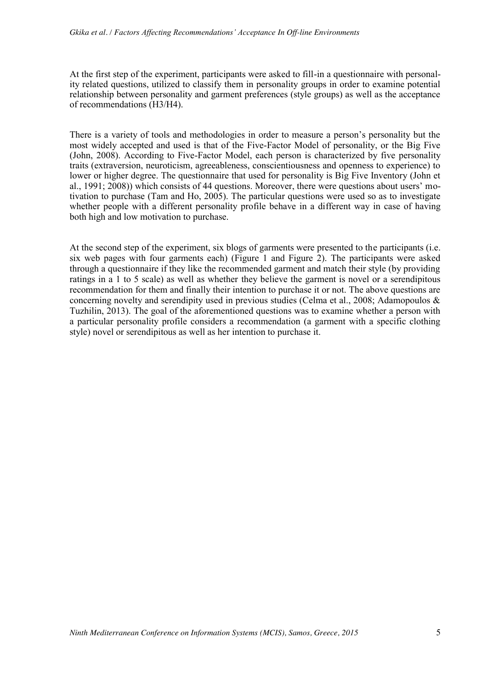At the first step of the experiment, participants were asked to fill-in a questionnaire with personality related questions, utilized to classify them in personality groups in order to examine potential relationship between personality and garment preferences (style groups) as well as the acceptance of recommendations (H3/H4).

There is a variety of tools and methodologies in order to measure a person's personality but the most widely accepted and used is that of the Five-Factor Model of personality, or the Big Five (John, 2008). According to Five-Factor Model, each person is characterized by five personality traits (extraversion, neuroticism, agreeableness, conscientiousness and openness to experience) to lower or higher degree. The questionnaire that used for personality is Big Five Inventory (John et al., 1991; 2008)) which consists of 44 questions. Moreover, there were questions about users' motivation to purchase (Tam and Ho, 2005). The particular questions were used so as to investigate whether people with a different personality profile behave in a different way in case of having both high and low motivation to purchase.

At the second step of the experiment, six blogs of garments were presented to the participants (i.e. six web pages with four garments each) (Figure 1 and Figure 2). The participants were asked through a questionnaire if they like the recommended garment and match their style (by providing ratings in a 1 to 5 scale) as well as whether they believe the garment is novel or a serendipitous recommendation for them and finally their intention to purchase it or not. The above questions are concerning novelty and serendipity used in previous studies (Celma et al., 2008; Adamopoulos & Tuzhilin, 2013). The goal of the aforementioned questions was to examine whether a person with a particular personality profile considers a recommendation (a garment with a specific clothing style) novel or serendipitous as well as her intention to purchase it.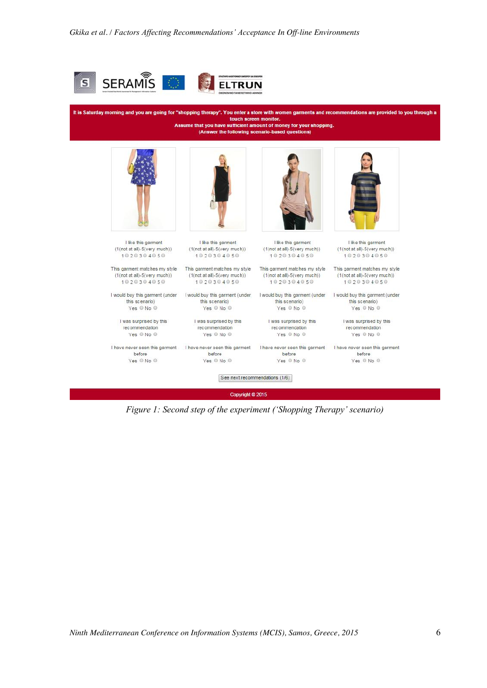

It is Saturday morning and you are going for "shopping therapy". You enter a store with women garments and recommendations are provided to you through a touch screen monitor. Assume that you have sufficient amount of money for your shopping. (Answer the following scenario-based questions)



I like this garment

(1(not at all)-5(very much))

1020304050

(1(not at all)-5(very much))

1020304050

this scenario)

Yes © No ©

I was surprised by this

 $Yes \oplus No \oplus$ 

recommendation

before

 $Yes \circ No \circ$ 



I like this garment (1(not at all)-5(very much)) 1020304050

This garment matches my style This garment matches my style  $(1(\text{not at all})-5(\text{very much}))$  $1020304050$ 

I would buy this garment (under I would buy this garment (under I would buy this garment (under I would buy this garment (under this scenario) Yes O No O

> I was surprised by this recommendation Yes © No ©

> > before

Yes  $@$  No  $@$ 



I like this garment (1(not at all)-5(very much)) 1020304050

(1(not at all)-5(very much)) (1(not at all)-5(very much))  $1020304050$ 

this scenario) Yes © No ©

I was surprised by this recommendation Yes O No O

before

Yes © No ©

I like this garment (1(not at all)-5(very much)) 1020304050

This garment matches my style This garment matches my style

1020304050

this scenario) Yes © No ©

I was surprised by this recommendation Yes @ No @

I have never seen this garment I have never seen this garment I have never seen this garment I have never seen this garment before Yes @ No @

See next recommendations (1/6)

Copyright © 2015

*Figure 1: Second step of the experiment ('Shopping Therapy' scenario)*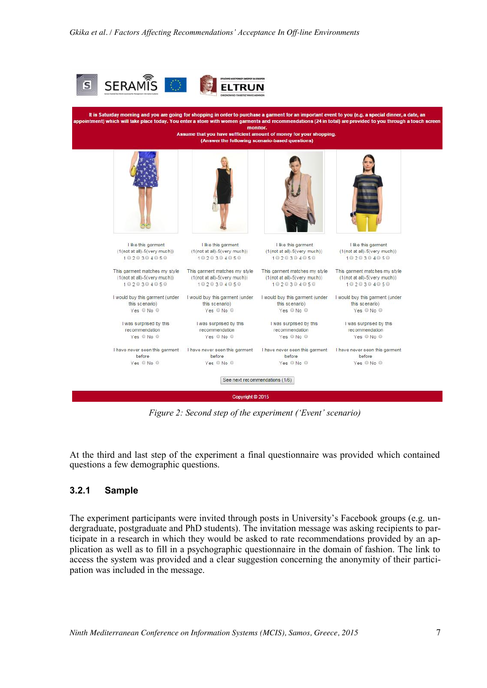

It is Saturday morning and you are going for shopping in order to purchase a garment for an important event to you (e.g. a special dinner, a date, an intment) which will take place today. You enter a store with women garments and recommendations (24 in total) are provided to you through a touch so monitor. Assume that you have sufficient amount of money for your shopping. (Answer the following scenario ions) I like this garment I like this garment I like this garment I like this garment (1(not at all)-5(very much)) (1(not at all)-5(very much)) (1(not at all)-5(very much))  $(1(\text{not at all})-5(\text{very much}))$ 1020304050 1020304050 1020304050 1020304050 This garment matches my style This garment matches my style This garment matches my style This garment matches my style  $(1(\text{not at all})-5(\text{very much}))$  $(1(\text{not at all})-5(\text{very much}))$  $(1(\text{not at all})-5(\text{very much}))$  $(1(\text{not at all})-5(\text{very much}))$  $1020304050$ 1020304050 1020304050 1020304050 I would buy this garment (under I would buy this garment (under I would buy this garment (under I would buy this garment (under this scenario) this scenario) this scenario) this scenario) Yes © No © Yes © No © Yes © No © Yes @ No @ I was surprised by this I was surprised by this I was surprised by this I was surprised by this recommendation recommendation recommendation recommendation Yes © No © Yes © No © Yes © No © Yes © No © I have never seen this garment I have never seen this garment I have never seen this garment I have never seen this garment before before before before Yes © No ©  $Yes \circ No \circ$ Yes @ No @ Yes © No © See next recommendations (1/6) Copyright @ 2015

*Figure 2: Second step of the experiment ('Event' scenario)*

At the third and last step of the experiment a final questionnaire was provided which contained questions a few demographic questions.

#### **3.2.1 Sample**

The experiment participants were invited through posts in University's Facebook groups (e.g. undergraduate, postgraduate and PhD students). The invitation message was asking recipients to participate in a research in which they would be asked to rate recommendations provided by an application as well as to fill in a psychographic questionnaire in the domain of fashion. The link to access the system was provided and a clear suggestion concerning the anonymity of their participation was included in the message.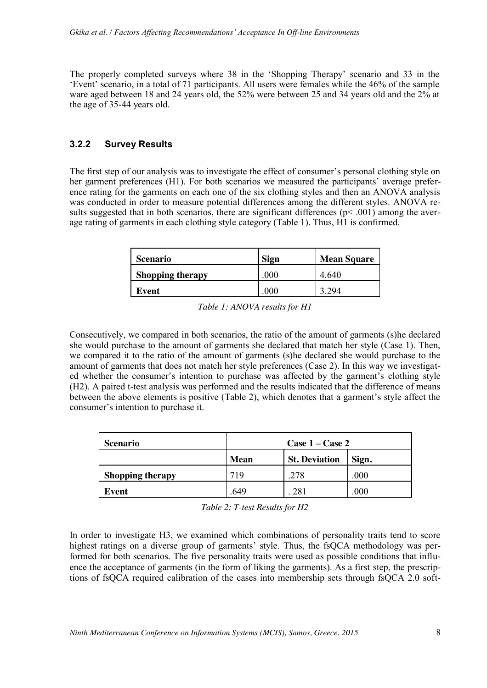The properly completed surveys where 38 in the 'Shopping Therapy' scenario and 33 in the 'Event' scenario, in a total of 71 participants. All users were females while the 46% of the sample ware aged between 18 and 24 years old, the 52% were between 25 and 34 years old and the 2% at the age of 35-44 years old.

#### **3.2.2 Survey Results**

The first step of our analysis was to investigate the effect of consumer's personal clothing style on her garment preferences (H1). For both scenarios we measured the participants' average preference rating for the garments on each one of the six clothing styles and then an ANOVA analysis was conducted in order to measure potential differences among the different styles. ANOVA results suggested that in both scenarios, there are significant differences  $(p< .001)$  among the average rating of garments in each clothing style category (Table 1). Thus, H1 is confirmed.

| Scenario                | <b>Sign</b> | <b>Mean Square</b> |
|-------------------------|-------------|--------------------|
| <b>Shopping therapy</b> | 000         | 4 640              |
| Event                   | 000         |                    |

| Table 1: ANOVA results for H1 |  |
|-------------------------------|--|
|-------------------------------|--|

Consecutively, we compared in both scenarios, the ratio of the amount of garments (s)he declared she would purchase to the amount of garments she declared that match her style (Case 1). Then, we compared it to the ratio of the amount of garments (s)he declared she would purchase to the amount of garments that does not match her style preferences (Case 2). In this way we investigated whether the consumer's intention to purchase was affected by the garment's clothing style (H2). A paired t-test analysis was performed and the results indicated that the difference of means between the above elements is positive (Table 2), which denotes that a garment's style affect the consumer's intention to purchase it.

| <b>Scenario</b>         | Case $1 -$ Case $2$ |                      |       |  |
|-------------------------|---------------------|----------------------|-------|--|
|                         | <b>Mean</b>         | <b>St. Deviation</b> | Sign. |  |
| <b>Shopping therapy</b> | 719                 | .278                 | .000  |  |
| Event                   | 649                 |                      | 000   |  |

*Table 2: T-test Results for H2*

In order to investigate H3, we examined which combinations of personality traits tend to score highest ratings on a diverse group of garments' style. Thus, the fsQCA methodology was performed for both scenarios. The five personality traits were used as possible conditions that influence the acceptance of garments (in the form of liking the garments). As a first step, the prescriptions of fsQCA required calibration of the cases into membership sets through fsQCA 2.0 soft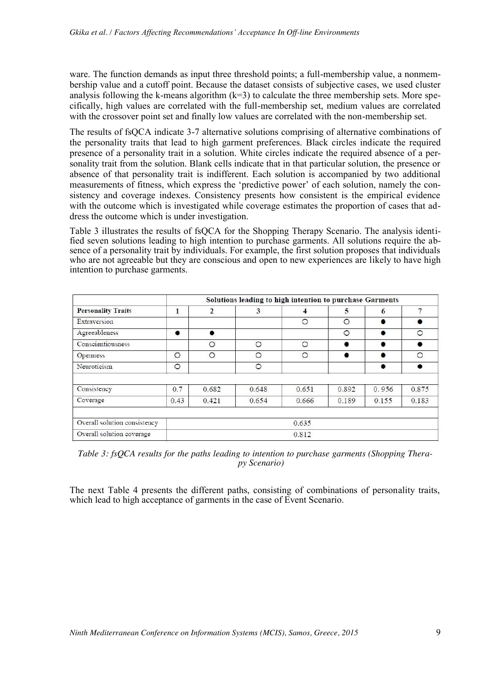ware. The function demands as input three threshold points; a full-membership value, a nonmembership value and a cutoff point. Because the dataset consists of subjective cases, we used cluster analysis following the k-means algorithm  $(k=3)$  to calculate the three membership sets. More specifically, high values are correlated with the full-membership set, medium values are correlated with the crossover point set and finally low values are correlated with the non-membership set.

The results of fsQCA indicate 3-7 alternative solutions comprising of alternative combinations of the personality traits that lead to high garment preferences. Black circles indicate the required presence of a personality trait in a solution. White circles indicate the required absence of a personality trait from the solution. Blank cells indicate that in that particular solution, the presence or absence of that personality trait is indifferent. Each solution is accompanied by two additional measurements of fitness, which express the 'predictive power' of each solution, namely the consistency and coverage indexes. Consistency presents how consistent is the empirical evidence with the outcome which is investigated while coverage estimates the proportion of cases that address the outcome which is under investigation.

Table 3 illustrates the results of fsOCA for the Shopping Therapy Scenario. The analysis identified seven solutions leading to high intention to purchase garments. All solutions require the absence of a personality trait by individuals. For example, the first solution proposes that individuals who are not agreeable but they are conscious and open to new experiences are likely to have high intention to purchase garments.

| <b>Personality Traits</b>    | Solutions leading to high intention to purchase Garments |           |         |         |           |       |           |
|------------------------------|----------------------------------------------------------|-----------|---------|---------|-----------|-------|-----------|
|                              | 1                                                        | 2         | 3       | 4       | 5         | 6     | 7         |
| Extraversion                 |                                                          |           |         | $\circ$ | $\circ$   |       | $\bullet$ |
| Agreeableness                | $\bullet$                                                | $\bullet$ |         |         | $\circ$   |       | $\circ$   |
| Conscientiousness            |                                                          | $\circ$   | $\circ$ | $\circ$ |           |       |           |
| <b>Openness</b>              | $\circ$                                                  | $\circ$   | O       | $\circ$ | $\bullet$ |       | $\Omega$  |
| Neuroticism                  | $\circ$                                                  |           | $\circ$ |         |           |       |           |
| Consistency                  | 0.7                                                      | 0.682     | 0.648   | 0.651   | 0.892     | 0.956 | 0.875     |
| Coverage                     | 0.43                                                     | 0.421     | 0.654   | 0.666   | 0.189     | 0.155 | 0.183     |
| Overall solution consistency |                                                          |           |         | 0.635   |           |       |           |
| Overall solution coverage    |                                                          |           |         | 0.812   |           |       |           |

*Table 3: fsQCA results for the paths leading to intention to purchase garments (Shopping Therapy Scenario)*

The next Table 4 presents the different paths, consisting of combinations of personality traits, which lead to high acceptance of garments in the case of Event Scenario.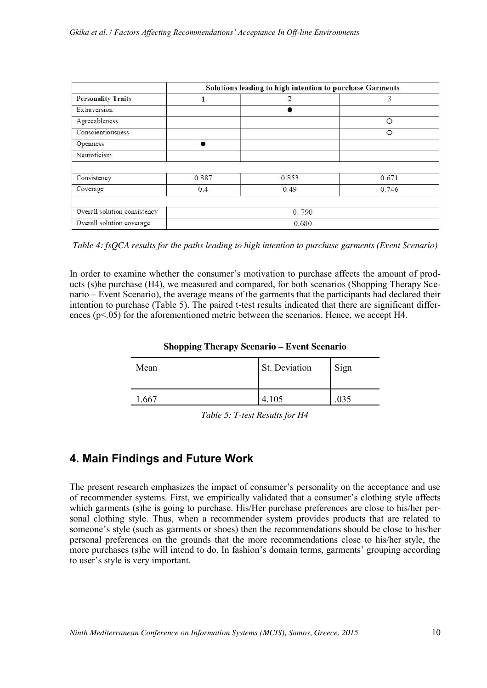|                              | Solutions leading to high intention to purchase Garments |       |         |  |
|------------------------------|----------------------------------------------------------|-------|---------|--|
| <b>Personality Traits</b>    |                                                          | 2     | 3       |  |
| Extraversion                 |                                                          |       |         |  |
| Agreeableness                |                                                          |       | $\circ$ |  |
| Conscientiousness            |                                                          |       | O       |  |
| Openness                     |                                                          |       |         |  |
| Neuroticism                  |                                                          |       |         |  |
| Consistency                  | 0.887                                                    | 0.853 | 0.671   |  |
| Coverage                     | 0.4                                                      | 0.49  | 0.746   |  |
|                              |                                                          |       |         |  |
| Overall solution consistency | 0.790                                                    |       |         |  |
| Overall solution coverage    | 0.680                                                    |       |         |  |

*Table 4: fsQCA results for the paths leading to high intention to purchase garments (Event Scenario)*

In order to examine whether the consumer's motivation to purchase affects the amount of products (s)he purchase (H4), we measured and compared, for both scenarios (Shopping Therapy Scenario – Event Scenario), the average means of the garments that the participants had declared their intention to purchase (Table 5). The paired t-test results indicated that there are significant differences  $(p<.05)$  for the aforementioned metric between the scenarios. Hence, we accept H4.

| <b>Shopping Therapy Scenario – Event Scenario</b> |               |      |  |  |
|---------------------------------------------------|---------------|------|--|--|
| Mean                                              | St. Deviation | Sign |  |  |
|                                                   | 4 105         | 035  |  |  |

*Table 5: T-test Results for H4*

# **4. Main Findings and Future Work**

The present research emphasizes the impact of consumer's personality on the acceptance and use of recommender systems. First, we empirically validated that a consumer's clothing style affects which garments (s)he is going to purchase. His/Her purchase preferences are close to his/her personal clothing style. Thus, when a recommender system provides products that are related to someone's style (such as garments or shoes) then the recommendations should be close to his/her personal preferences on the grounds that the more recommendations close to his/her style, the more purchases (s)he will intend to do. In fashion's domain terms, garments' grouping according to user's style is very important.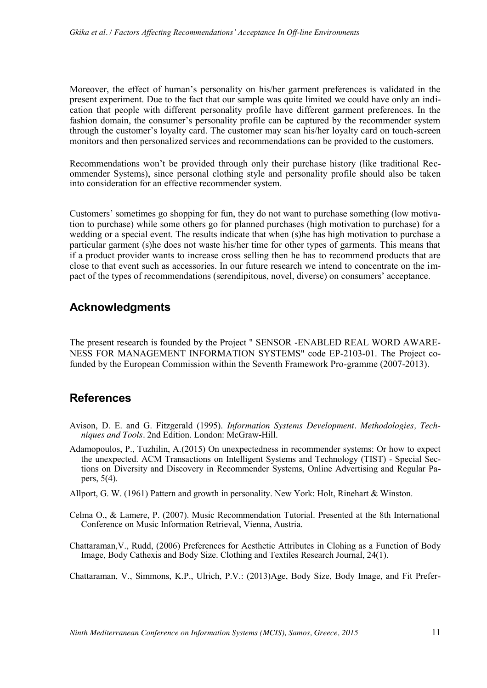Moreover, the effect of human's personality on his/her garment preferences is validated in the present experiment. Due to the fact that our sample was quite limited we could have only an indication that people with different personality profile have different garment preferences. In the fashion domain, the consumer's personality profile can be captured by the recommender system through the customer's loyalty card. The customer may scan his/her loyalty card on touch-screen monitors and then personalized services and recommendations can be provided to the customers.

Recommendations won't be provided through only their purchase history (like traditional Recommender Systems), since personal clothing style and personality profile should also be taken into consideration for an effective recommender system.

Customers' sometimes go shopping for fun, they do not want to purchase something (low motivation to purchase) while some others go for planned purchases (high motivation to purchase) for a wedding or a special event. The results indicate that when (s)he has high motivation to purchase a particular garment (s)he does not waste his/her time for other types of garments. This means that if a product provider wants to increase cross selling then he has to recommend products that are close to that event such as accessories. In our future research we intend to concentrate on the impact of the types of recommendations (serendipitous, novel, diverse) on consumers' acceptance.

### **Acknowledgments**

The present research is founded by the Project " SENSOR -ENABLED REAL WORD AWARE-NESS FOR MANAGEMENT INFORMATION SYSTEMS" code ΕΡ-2103-01. The Project cofunded by the European Commission within the Seventh Framework Pro-gramme (2007-2013).

# **References**

- Avison, D. E. and G. Fitzgerald (1995). *Information Systems Development. Methodologies, Techniques and Tools.* 2nd Edition. London: McGraw-Hill.
- Adamopoulos, P., Tuzhilin, A.(2015) On unexpectedness in recommender systems: Or how to expect the unexpected. ACM Transactions on Intelligent Systems and Technology (TIST) - Special Sections on Diversity and Discovery in Recommender Systems, Online Advertising and Regular Papers, 5(4).
- Allport, G. W. (1961) Pattern and growth in personality. New York: Holt, Rinehart & Winston.
- Celma O., & Lamere, P. (2007). Music Recommendation Tutorial. Presented at the 8th International Conference on Music Information Retrieval, Vienna, Austria.
- Chattaraman,V., Rudd, (2006) Preferences for Aesthetic Attributes in Clohing as a Function of Body Image, Body Cathexis and Body Size. Clothing and Textiles Research Journal, 24(1).

Chattaraman, V., Simmons, K.P., Ulrich, P.V.: (2013)Age, Body Size, Body Image, and Fit Prefer-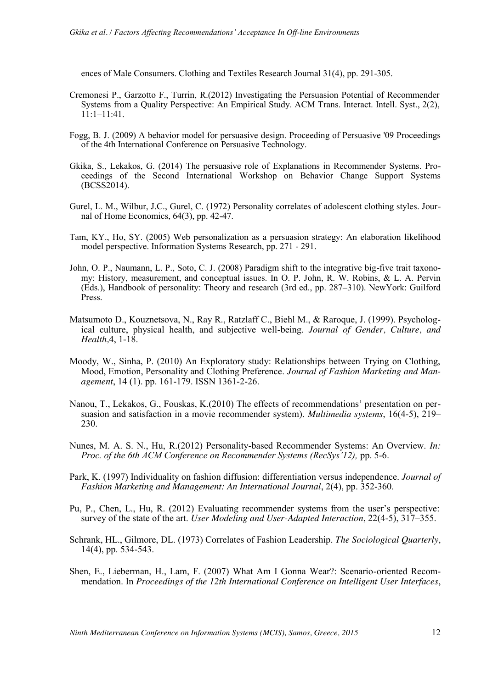ences of Male Consumers. Clothing and Textiles Research Journal 31(4), pp. 291-305.

- Cremonesi P., Garzotto F., Turrin, R.(2012) Investigating the Persuasion Potential of Recommender Systems from a Quality Perspective: An Empirical Study. ACM Trans. Interact. Intell. Syst., 2(2), 11:1–11:41.
- Fogg, B. J. (2009) A behavior model for persuasive design. Proceeding of Persuasive '09 Proceedings of the 4th International Conference on Persuasive Technology.
- Gkika, S., Lekakos, G. (2014) The persuasive role of Explanations in Recommender Systems. Proceedings of the Second International Workshop on Behavior Change Support Systems (BCSS2014).
- Gurel, L. M., Wilbur, J.C., Gurel, C. (1972) Personality correlates of adolescent clothing styles. Journal of Home Economics, 64(3), pp. 42-47.
- Tam, KY., Ho, SY. (2005) Web personalization as a persuasion strategy: An elaboration likelihood model perspective. Information Systems Research, pp. 271 - 291.
- John, O. P., Naumann, L. P., Soto, C. J. (2008) Paradigm shift to the integrative big-five trait taxonomy: History, measurement, and conceptual issues. In O. P. John, R. W. Robins, & L. A. Pervin (Eds.), Handbook of personality: Theory and research (3rd ed., pp. 287–310). NewYork: Guilford Press.
- Matsumoto D., Kouznetsova, N., Ray R., Ratzlaff C., Biehl M., & Raroque, J. (1999). Psychological culture, physical health, and subjective well-being. *Journal of Gender, Culture, and Health,*4, 1-18.
- Moody, W., Sinha, P. (2010) An Exploratory study: Relationships between Trying on Clothing, Mood, Emotion, Personality and Clothing Preference. *Journal of Fashion Marketing and Management*, 14 (1). pp. 161-179. ISSN 1361-2-26.
- Nanou, T., Lekakos, G., Fouskas, K.(2010) The effects of recommendations' presentation on persuasion and satisfaction in a movie recommender system). *Multimedia systems*, 16(4-5), 219– 230.
- Nunes, M. A. S. N., Hu, R.(2012) Personality-based Recommender Systems: An Overview. *In: Proc. of the 6th ACM Conference on Recommender Systems (RecSys'12),* pp. 5-6.
- Park, K. (1997) Individuality on fashion diffusion: differentiation versus independence. *Journal of Fashion Marketing and Management: An International Journal*, 2(4), pp. 352-360.
- Pu, P., Chen, L., Hu, R. (2012) Evaluating recommender systems from the user's perspective: survey of the state of the art. *User Modeling and User-Adapted Interaction*, 22(4-5), 317–355.
- Schrank, HL., Gilmore, DL. (1973) Correlates of Fashion Leadership. *The Sociological Quarterly*, 14(4), pp. 534-543.
- Shen, E., Lieberman, H., Lam, F. (2007) What Am I Gonna Wear?: Scenario-oriented Recommendation. In *Proceedings of the 12th International Conference on Intelligent User Interfaces*,